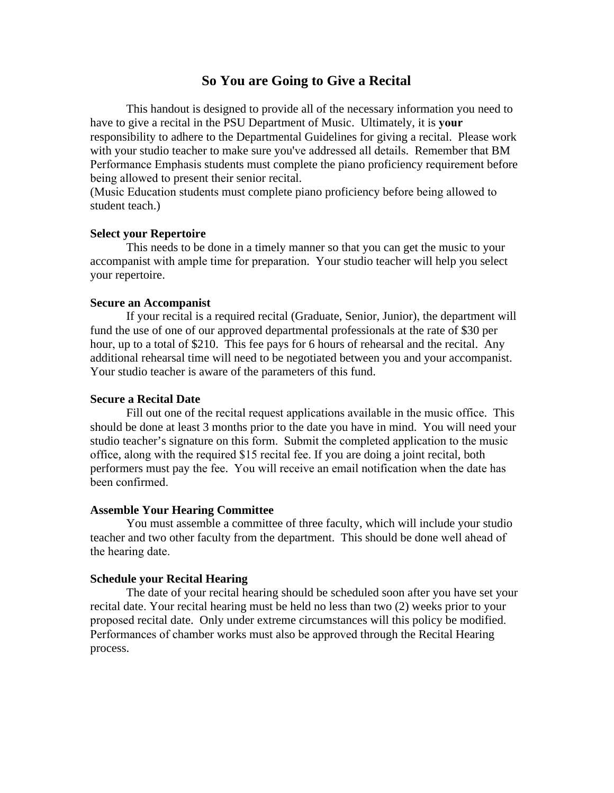# **So You are Going to Give a Recital**

This handout is designed to provide all of the necessary information you need to have to give a recital in the PSU Department of Music. Ultimately, it is **your** responsibility to adhere to the Departmental Guidelines for giving a recital. Please work with your studio teacher to make sure you've addressed all details. Remember that BM Performance Emphasis students must complete the piano proficiency requirement before being allowed to present their senior recital.

(Music Education students must complete piano proficiency before being allowed to student teach.)

## **Select your Repertoire**

This needs to be done in a timely manner so that you can get the music to your accompanist with ample time for preparation. Your studio teacher will help you select your repertoire.

### **Secure an Accompanist**

If your recital is a required recital (Graduate, Senior, Junior), the department will fund the use of one of our approved departmental professionals at the rate of \$30 per hour, up to a total of \$210. This fee pays for 6 hours of rehearsal and the recital. Any additional rehearsal time will need to be negotiated between you and your accompanist. Your studio teacher is aware of the parameters of this fund.

#### **Secure a Recital Date**

Fill out one of the recital request applications available in the music office. This should be done at least 3 months prior to the date you have in mind. You will need your studio teacher's signature on this form. Submit the completed application to the music office, along with the required \$15 recital fee. If you are doing a joint recital, both performers must pay the fee. You will receive an email notification when the date has been confirmed.

#### **Assemble Your Hearing Committee**

You must assemble a committee of three faculty, which will include your studio teacher and two other faculty from the department. This should be done well ahead of the hearing date.

#### **Schedule your Recital Hearing**

The date of your recital hearing should be scheduled soon after you have set your recital date. Your recital hearing must be held no less than two (2) weeks prior to your proposed recital date. Only under extreme circumstances will this policy be modified. Performances of chamber works must also be approved through the Recital Hearing process.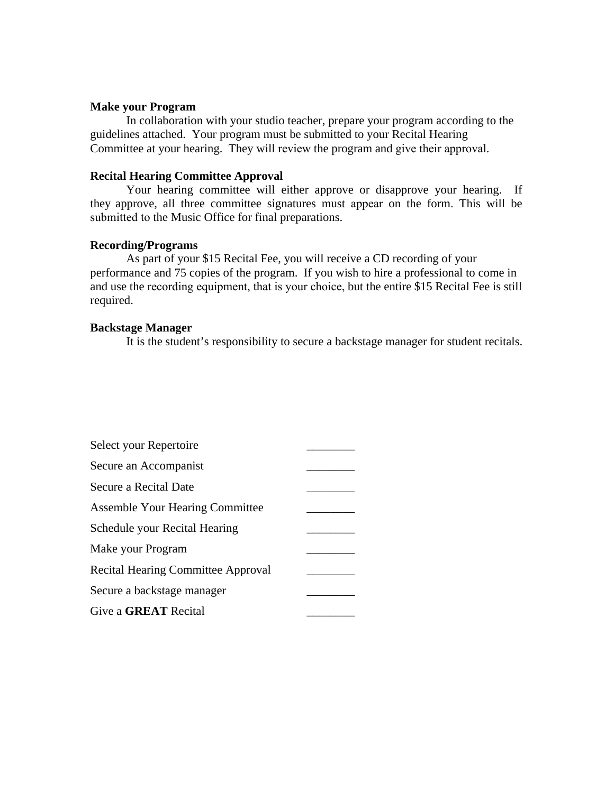#### **Make your Program**

In collaboration with your studio teacher, prepare your program according to the guidelines attached. Your program must be submitted to your Recital Hearing Committee at your hearing. They will review the program and give their approval.

## **Recital Hearing Committee Approval**

Your hearing committee will either approve or disapprove your hearing. If they approve, all three committee signatures must appear on the form. This will be submitted to the Music Office for final preparations.

### **Recording/Programs**

As part of your \$15 Recital Fee, you will receive a CD recording of your performance and 75 copies of the program. If you wish to hire a professional to come in and use the recording equipment, that is your choice, but the entire \$15 Recital Fee is still required.

### **Backstage Manager**

It is the student's responsibility to secure a backstage manager for student recitals.

| Select your Repertoire                    |  |
|-------------------------------------------|--|
| Secure an Accompanist                     |  |
| Secure a Recital Date                     |  |
| <b>Assemble Your Hearing Committee</b>    |  |
| Schedule your Recital Hearing             |  |
| Make your Program                         |  |
| <b>Recital Hearing Committee Approval</b> |  |
| Secure a backstage manager                |  |
| Give a <b>GREAT</b> Recital               |  |
|                                           |  |